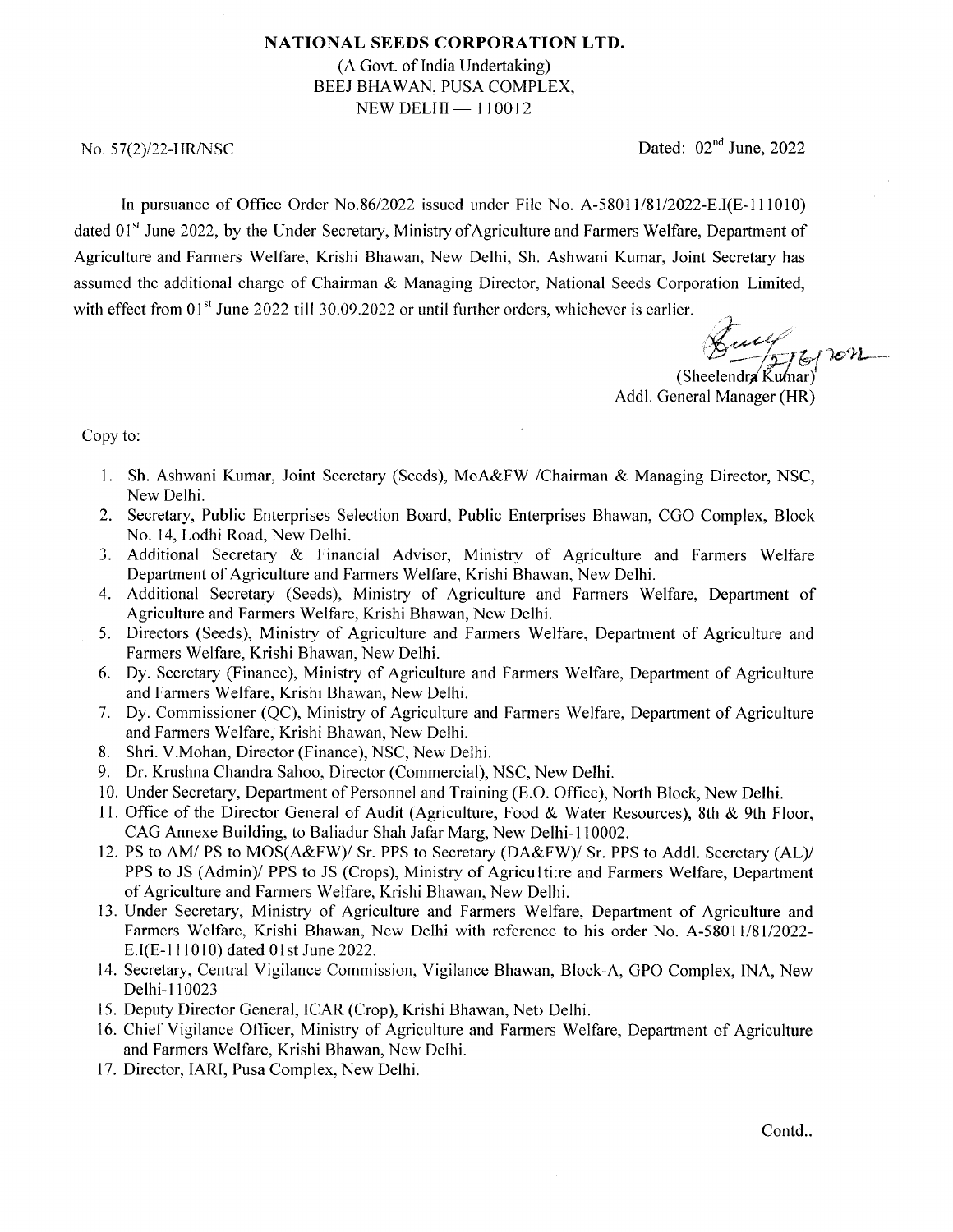## NATIONAL SEEDS CORPORATION LTD.

(A Govt. of India Undertaking) BEEJ BHAWAN, PUSA COMPLEX,  $NEW DELHI - 110012$ 

No.  $57(2)/22$ -HR/NSC Dated: 02<sup>nd</sup> June, 2022

In pursuance of Office Order No.86/2022 issued under File No.  $A-58011/81/2022 - E.I(E-111010)$ dated 01<sup>st</sup> June 2022, by the Under Secretary, Ministry of Agriculture and Farmers Welfare, Department of Agriculture and Farmers Welfare, Krishi Bhawan, New Delhi, Sh. Ashwani Kumar, Joint Secretary has assumed the additional charge of Chairman & Managing Director, National Seeds Corporation Limited, with effect from  $01<sup>st</sup>$  June 2022 till 30.09.2022 or until further orders, whichever is earlier.

 $\frac{1}{2}$  on (Sheelendra  $\tilde{K}$ umar)

Addl. General Manager (HR)

## Copy to:

- l. Sh. Ashwani Kumar, Joint Secretary (Seeds), MoA&FW /Chairman & Managing Director, NSC, New Delhi.
- 2. Secretary, Public Enterprises Selection Board, Public Enterprises Bhawan, CGO Complex, Block No. 14, Lodhi Road, New Delhi.
- 3. Additional Secretary &. Financial Advisor, Ministry of Agriculture and Farmers Welfare Department of Agriculture and Farmers Welfare, Krishi Bhawan, New Delhi.
- 4. Additional Secretary (Seeds), Ministry of Agriculture and Farmers Welfare, Department of Agriculture and Farmers Welfare, Krishi Bhawan, New Delhi.
- 5. Directors (Seeds), Ministry of Agriculture and Farmers Welfare, Depaftment of Agriculture and Farmers Welfare, Krishi Bhawan, New Delhi.
- 6. Dy. Secretary (Finance), Ministry of Agriculture and Farmers Welfare, Department of Agriculture and Farmers Welfare, Krishi Bhawan, New Delhi.
- Dy. Commissioner (QC), Ministry of Agriculture and Farmers Welfare, Department of Agriculture and Farmers Welfare, Krishi Bhawan, New Delhi.
- Shri. V.Mohan, Director (Finance), NSC, New Delhi.
- 9. Dr. Krushna Chandra Sahoo, Director (Commercial), NSC, New Delhi.
- 10. Under Secretary, Department of Personnel and Training (E.O. Office), North Block, New Delhi.
- 11. Office of the Director General of Audit (Agriculture, Food & Water Resources), 8th & 9th Floor, CAG Annexe Building, to Baliadur Shah Jafar Marg, New Delhi-l10002.
- 12. PS to AM/ PS to MOS(A&FW)/ Sr. PPS to Secretary (DA&FW)/ Sr. PPS to Addl. Secretary (AL)/ PPS to JS (Admin)/ PPS to JS (Crops), Ministry of Agriculti:re and Farmers Welfare, Department of Agriculture and Farmers Welfare, Krishi Bhawan, New Delhi.
- 13. Under Secretary, Ministry of Agriculture and Farmers Welfare, Department of Agriculture and Farmers Welfare, Krishi Bhawan, New Delhi with reference to his order No. A-58011/81/2022-E.I(E-111010) dated 01st June 2022.
- 14. Secretary, Central Vigilance Commission, Vigilance Bhawan, Block-A, GPO Complex, INA, New Delhi-1 10023
- 15. Deputy Director General, ICAR (Crop), Krishi Bhawan, Net> Delhi.
- 16. Chief Vigilance Officer, Ministry of Agriculture and Farmers Welfare, Department of Agriculture and Farmers Welfare, Krishi Bhawan, New Delhi.
- 17. Director, IARI, Pusa Complex, New Delhi.